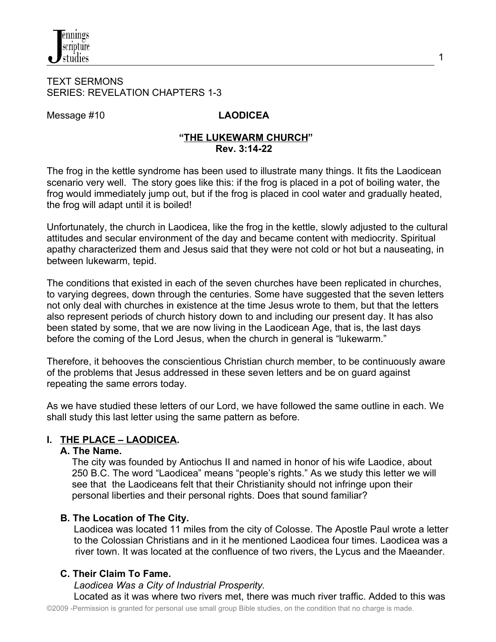

#### TEXT SERMONS SERIES: REVELATION CHAPTERS 1-3

Message #10 **LAODICEA** 

#### **"THE LUKEWARM CHURCH" Rev. 3:14-22**

The frog in the kettle syndrome has been used to illustrate many things. It fits the Laodicean scenario very well. The story goes like this: if the frog is placed in a pot of boiling water, the frog would immediately jump out, but if the frog is placed in cool water and gradually heated, the frog will adapt until it is boiled!

Unfortunately, the church in Laodicea, like the frog in the kettle, slowly adjusted to the cultural attitudes and secular environment of the day and became content with mediocrity. Spiritual apathy characterized them and Jesus said that they were not cold or hot but a nauseating, in between lukewarm, tepid.

The conditions that existed in each of the seven churches have been replicated in churches, to varying degrees, down through the centuries. Some have suggested that the seven letters not only deal with churches in existence at the time Jesus wrote to them, but that the letters also represent periods of church history down to and including our present day. It has also been stated by some, that we are now living in the Laodicean Age, that is, the last days before the coming of the Lord Jesus, when the church in general is "lukewarm."

Therefore, it behooves the conscientious Christian church member, to be continuously aware of the problems that Jesus addressed in these seven letters and be on guard against repeating the same errors today.

As we have studied these letters of our Lord, we have followed the same outline in each. We shall study this last letter using the same pattern as before.

# **I. THE PLACE – LAODICEA.**

### **A. The Name.**

The city was founded by [Antiochus II a](http://en.wikipedia.org/wiki/Antiochus_II_Theos)nd named in honor of his wife [Laodice,](http://en.wikipedia.org/wiki/Laodice_I) about 250 B.C. The word "Laodicea" means "people's rights." As we study this letter we will see that the Laodiceans felt that their Christianity should not infringe upon their personal liberties and their personal rights. Does that sound familiar?

### **B. The Location of The City.**

 Laodicea was located 11 miles from the city of Colosse. The Apostle Paul wrote a letter to the Colossian Christians and in it he mentioned Laodicea four times. Laodicea was a river town. It was located at the confluence of two rivers, the Lycus and the Maeander.

# **C. Their Claim To Fame.**

 *Laodicea Was a City of Industrial Prosperity.*

Located as it was where two rivers met, there was much river traffic. Added to this was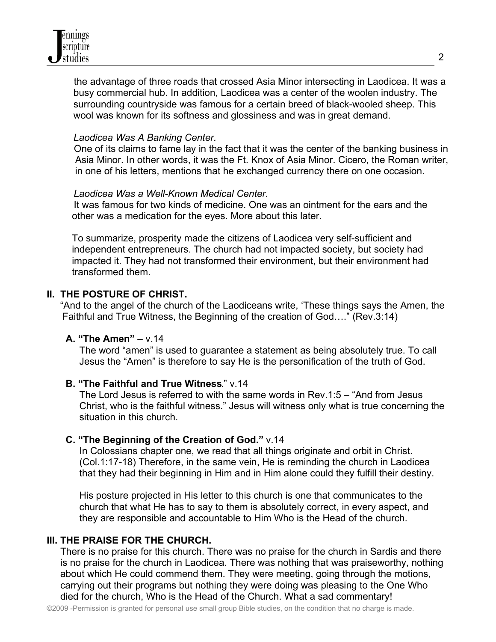the advantage of three roads that crossed Asia Minor intersecting in Laodicea. It was a busy commercial hub. In addition, Laodicea was a center of the woolen industry. The surrounding countryside was famous for a certain breed of black-wooled sheep. This wool was known for its softness and glossiness and was in great demand.

## *Laodicea Was A Banking Center.*

 One of its claims to fame lay in the fact that it was the center of the banking business in Asia Minor. In other words, it was the Ft. Knox of Asia Minor. Cicero, the Roman writer, in one of his letters, mentions that he exchanged currency there on one occasion.

# *Laodicea Was a Well-Known Medical Center.*

It was famous for two kinds of medicine. One was an ointment for the ears and the other was a medication for the eyes. More about this later.

To summarize, prosperity made the citizens of Laodicea very self-sufficient and independent entrepreneurs. The church had not impacted society, but society had impacted it. They had not transformed their environment, but their environment had transformed them.

# **II. THE POSTURE OF CHRIST.**

"And to the angel of the church of the Laodiceans write, 'These things says the Amen, the Faithful and True Witness, the Beginning of the creation of God…." (Rev.3:14)

### **A. "The Amen"** – v.14

 The word "amen" is used to guarantee a statement as being absolutely true. To call Jesus the "Amen" is therefore to say He is the personification of the truth of God.

### **B. "The Faithful and True Witness**." v.14

 The Lord Jesus is referred to with the same words in Rev.1:5 – "And from Jesus Christ, who is the faithful witness." Jesus will witness only what is true concerning the situation in this church.

### **C. "The Beginning of the Creation of God."** v.14

 In Colossians chapter one, we read that all things originate and orbit in Christ. (Col.1:17-18) Therefore, in the same vein, He is reminding the church in Laodicea that they had their beginning in Him and in Him alone could they fulfill their destiny.

 His posture projected in His letter to this church is one that communicates to the church that what He has to say to them is absolutely correct, in every aspect, and they are responsible and accountable to Him Who is the Head of the church.

# **III. THE PRAISE FOR THE CHURCH.**

 There is no praise for this church. There was no praise for the church in Sardis and there is no praise for the church in Laodicea. There was nothing that was praiseworthy, nothing about which He could commend them. They were meeting, going through the motions, carrying out their programs but nothing they were doing was pleasing to the One Who died for the church, Who is the Head of the Church. What a sad commentary!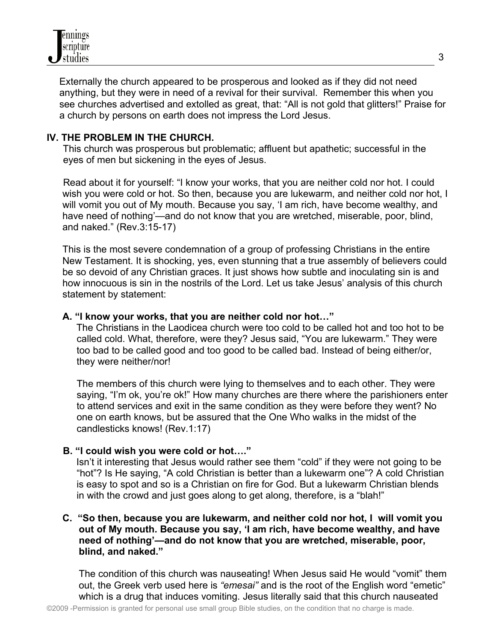

Externally the church appeared to be prosperous and looked as if they did not need anything, but they were in need of a revival for their survival. Remember this when you see churches advertised and extolled as great, that: "All is not gold that glitters!" Praise for a church by persons on earth does not impress the Lord Jesus.

#### **IV. THE PROBLEM IN THE CHURCH.**

This church was prosperous but problematic; affluent but apathetic; successful in the eyes of men but sickening in the eyes of Jesus.

 Read about it for yourself: "I know your works, that you are neither cold nor hot. I could wish you were cold or hot. So then, because you are lukewarm, and neither cold nor hot, I will vomit you out of My mouth. Because you say, 'I am rich, have become wealthy, and have need of nothing'—and do not know that you are wretched, miserable, poor, blind, and naked." (Rev.3:15-17)

This is the most severe condemnation of a group of professing Christians in the entire New Testament. It is shocking, yes, even stunning that a true assembly of believers could be so devoid of any Christian graces. It just shows how subtle and inoculating sin is and how innocuous is sin in the nostrils of the Lord. Let us take Jesus' analysis of this church statement by statement:

#### **A. "I know your works, that you are neither cold nor hot…"**

The Christians in the Laodicea church were too cold to be called hot and too hot to be called cold. What, therefore, were they? Jesus said, "You are lukewarm." They were too bad to be called good and too good to be called bad. Instead of being either/or, they were neither/nor!

 The members of this church were lying to themselves and to each other. They were saying, "I'm ok, you're ok!" How many churches are there where the parishioners enter to attend services and exit in the same condition as they were before they went? No one on earth knows, but be assured that the One Who walks in the midst of the candlesticks knows! (Rev.1:17)

#### **B. "I could wish you were cold or hot…."**

Isn't it interesting that Jesus would rather see them "cold" if they were not going to be "hot"? Is He saying, "A cold Christian is better than a lukewarm one"? A cold Christian is easy to spot and so is a Christian on fire for God. But a lukewarm Christian blends in with the crowd and just goes along to get along, therefore, is a "blah!"

### **C. "So then, because you are lukewarm, and neither cold nor hot, I will vomit you out of My mouth. Because you say, 'I am rich, have become wealthy, and have need of nothing'—and do not know that you are wretched, miserable, poor, blind, and naked."**

The condition of this church was nauseating! When Jesus said He would "vomit" them out, the Greek verb used here is *"emesai"* and is the root of the English word "emetic" which is a drug that induces vomiting. Jesus literally said that this church nauseated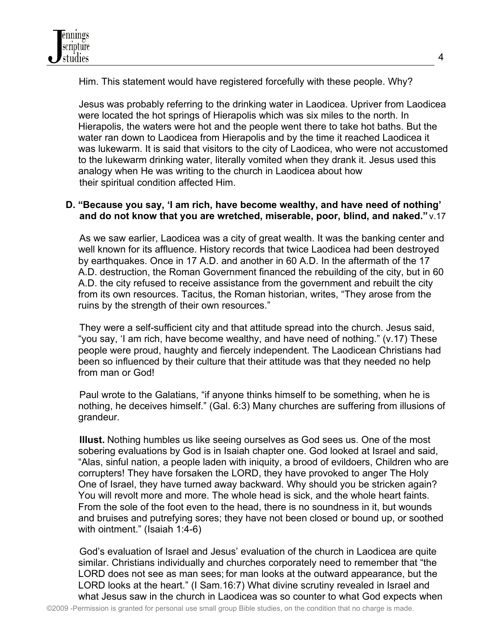Him. This statement would have registered forcefully with these people. Why?

 Jesus was probably referring to the drinking water in Laodicea. Upriver from Laodicea were located the hot springs of Hierapolis which was six miles to the north. In Hierapolis, the waters were hot and the people went there to take hot baths. But the water ran down to Laodicea from Hierapolis and by the time it reached Laodicea it was lukewarm. It is said that visitors to the city of Laodicea, who were not accustomed to the lukewarm drinking water, literally vomited when they drank it. Jesus used this analogy when He was writing to the church in Laodicea about how their spiritual condition affected Him.

# **D. "Because you say, 'I am rich, have become wealthy, and have need of nothing' and do not know that you are wretched, miserable, poor, blind, and naked."** v.17

 As we saw earlier, Laodicea was a city of great wealth. It was the banking center and well known for its affluence. History records that twice Laodicea had been destroyed by earthquakes. Once in 17 A.D. and another in 60 A.D. In the aftermath of the 17 A.D. destruction, the Roman Government financed the rebuilding of the city, but in 60 A.D. the city refused to receive assistance from the government and rebuilt the city from its own resources. Tacitus, the Roman historian, writes, "They arose from the ruins by the strength of their own resources."

 They were a self-sufficient city and that attitude spread into the church. Jesus said, "you say, 'I am rich, have become wealthy, and have need of nothing." (v.17) These people were proud, haughty and fiercely independent. The Laodicean Christians had been so influenced by their culture that their attitude was that they needed no help from man or God!

 Paul wrote to the Galatians, "if anyone thinks himself to be something, when he is nothing, he deceives himself." (Gal. 6:3) Many churches are suffering from illusions of grandeur.

 **Illust.** Nothing humbles us like seeing ourselves as God sees us. One of the most sobering evaluations by God is in Isaiah chapter one. God looked at Israel and said, "Alas, sinful nation, a people laden with iniquity, a brood of evildoers, Children who are corrupters! They have forsaken the LORD, they have provoked to anger The Holy One of Israel, they have turned away backward. Why should you be stricken again? You will revolt more and more. The whole head is sick, and the whole heart faints. From the sole of the foot even to the head, there is no soundness in it, but wounds and bruises and putrefying sores; they have not been closed or bound up, or soothed with ointment." (Isaiah 1:4-6)

 God's evaluation of Israel and Jesus' evaluation of the church in Laodicea are quite similar. Christians individually and churches corporately need to remember that "the LORD does not see as man sees; for man looks at the outward appearance, but the LORD looks at the heart." (I Sam.16:7) What divine scrutiny revealed in Israel and what Jesus saw in the church in Laodicea was so counter to what God expects when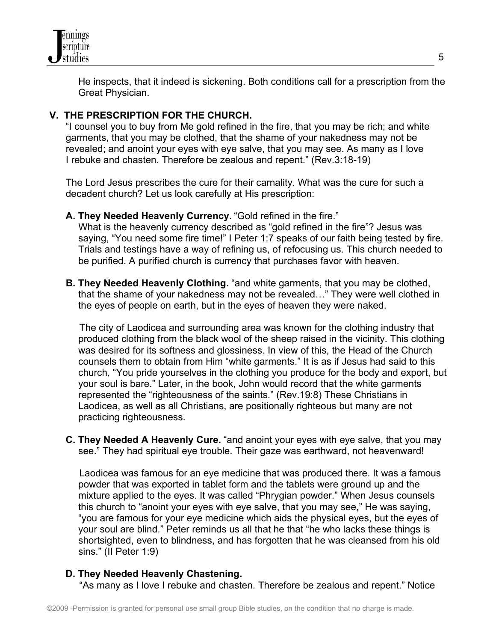

He inspects, that it indeed is sickening. Both conditions call for a prescription from the Great Physician.

# **V. THE PRESCRIPTION FOR THE CHURCH.**

 "I counsel you to buy from Me gold refined in the fire, that you may be rich; and white garments, that you may be clothed, that the shame of your nakedness may not be revealed; and anoint your eyes with eye salve, that you may see. As many as I love I rebuke and chasten. Therefore be zealous and repent." (Rev.3:18-19)

 The Lord Jesus prescribes the cure for their carnality. What was the cure for such a decadent church? Let us look carefully at His prescription:

**A. They Needed Heavenly Currency.** "Gold refined in the fire."

 What is the heavenly currency described as "gold refined in the fire"? Jesus was saying, "You need some fire time!" I Peter 1:7 speaks of our faith being tested by fire. Trials and testings have a way of refining us, of refocusing us. This church needed to be purified. A purified church is currency that purchases favor with heaven.

 **B. They Needed Heavenly Clothing.** "and white garments, that you may be clothed, that the shame of your nakedness may not be revealed…" They were well clothed in the eyes of people on earth, but in the eyes of heaven they were naked.

 The city of Laodicea and surrounding area was known for the clothing industry that produced clothing from the black wool of the sheep raised in the vicinity. This clothing was desired for its softness and glossiness. In view of this, the Head of the Church counsels them to obtain from Him "white garments." It is as if Jesus had said to this church, "You pride yourselves in the clothing you produce for the body and export, but your soul is bare." Later, in the book, John would record that the white garments represented the "righteousness of the saints." (Rev.19:8) These Christians in Laodicea, as well as all Christians, are positionally righteous but many are not practicing righteousness.

 **C. They Needed A Heavenly Cure.** "and anoint your eyes with eye salve, that you may see." They had spiritual eye trouble. Their gaze was earthward, not heavenward!

 Laodicea was famous for an eye medicine that was produced there. It was a famous powder that was exported in tablet form and the tablets were ground up and the mixture applied to the eyes. It was called "Phrygian powder." When Jesus counsels this church to "anoint your eyes with eye salve, that you may see," He was saying, "you are famous for your eye medicine which aids the physical eyes, but the eyes of your soul are blind." Peter reminds us all that he that "he who lacks these things is shortsighted, even to blindness, and has forgotten that he was cleansed from his old sins." (II Peter 1:9)

### **D. They Needed Heavenly Chastening.**

"As many as I love I rebuke and chasten. Therefore be zealous and repent." Notice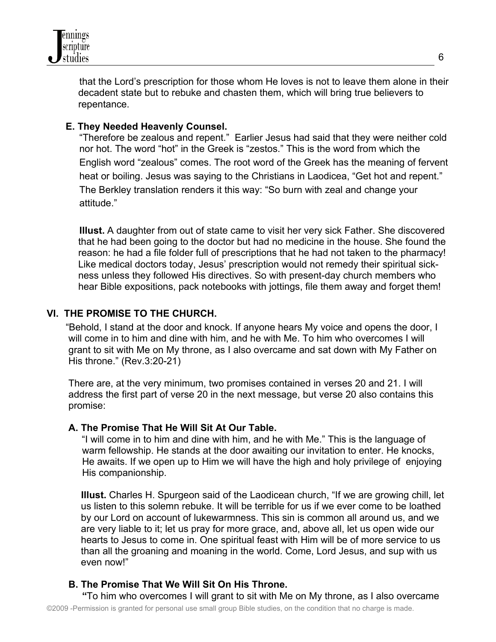

 that the Lord's prescription for those whom He loves is not to leave them alone in their decadent state but to rebuke and chasten them, which will bring true believers to repentance.

# **E. They Needed Heavenly Counsel.**

 "Therefore be zealous and repent." Earlier Jesus had said that they were neither cold nor hot. The word "hot" in the Greek is "zestos." This is the word from which the English word "zealous" comes. The root word of the Greek has the meaning of fervent heat or boiling. Jesus was saying to the Christians in Laodicea, "Get hot and repent." The Berkley translation renders it this way: "So burn with zeal and change your attitude."

 **Illust.** A daughter from out of state came to visit her very sick Father. She discovered that he had been going to the doctor but had no medicine in the house. She found the reason: he had a file folder full of prescriptions that he had not taken to the pharmacy! Like medical doctors today, Jesus' prescription would not remedy their spiritual sickness unless they followed His directives. So with present-day church members who hear Bible expositions, pack notebooks with jottings, file them away and forget them!

# **VI. THE PROMISE TO THE CHURCH.**

 "Behold, I stand at the door and knock. If anyone hears My voice and opens the door, I will come in to him and dine with him, and he with Me. To him who overcomes I will grant to sit with Me on My throne, as I also overcame and sat down with My Father on His throne." (Rev.3:20-21)

 There are, at the very minimum, two promises contained in verses 20 and 21. I will address the first part of verse 20 in the next message, but verse 20 also contains this promise:

### **A. The Promise That He Will Sit At Our Table.**

"I will come in to him and dine with him, and he with Me." This is the language of warm fellowship. He stands at the door awaiting our invitation to enter. He knocks, He awaits. If we open up to Him we will have the high and holy privilege of enjoying His companionship.

**Illust.** Charles H. Spurgeon said of the Laodicean church, "If we are growing chill, let us listen to this solemn rebuke. It will be terrible for us if we ever come to be loathed by our Lord on account of lukewarmness. This sin is common all around us, and we are very liable to it; let us pray for more grace, and, above all, let us open wide our hearts to Jesus to come in. One spiritual feast with Him will be of more service to us than all the groaning and moaning in the world. Come, Lord Jesus, and sup with us even now!"

# **B. The Promise That We Will Sit On His Throne.**

 **"**To him who overcomes I will grant to sit with Me on My throne, as I also overcame